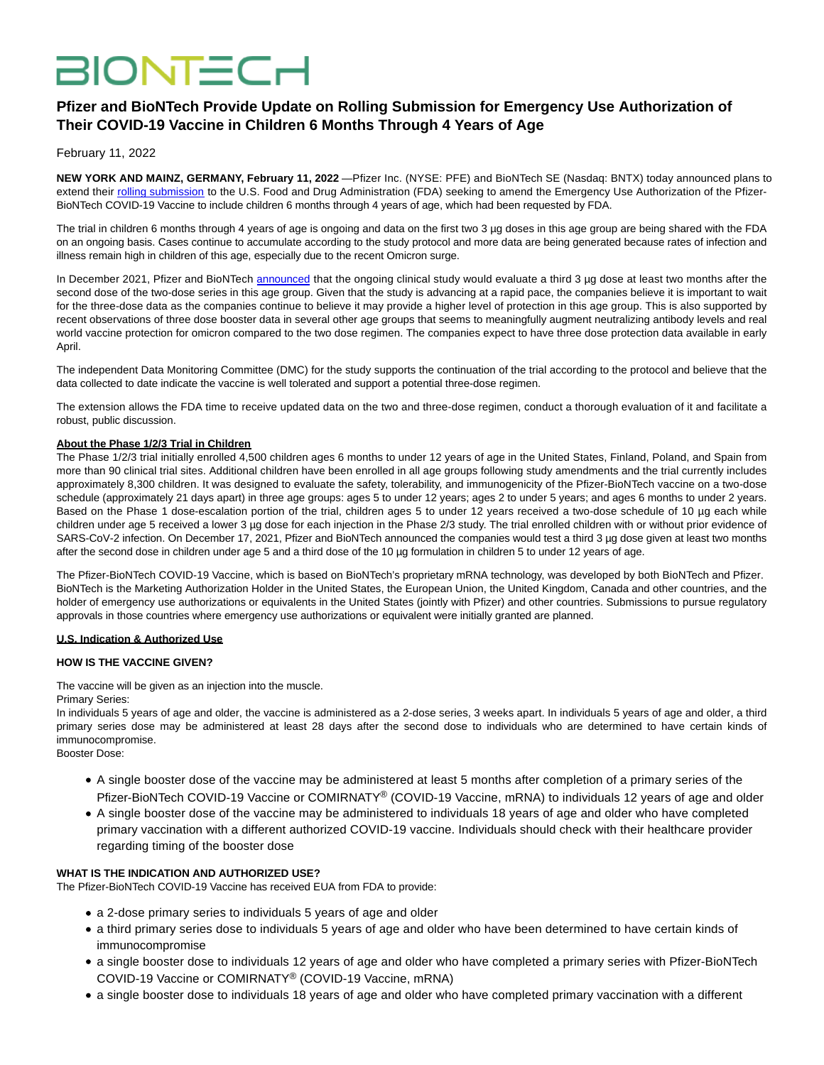# **BIONTECH**

# **Pfizer and BioNTech Provide Update on Rolling Submission for Emergency Use Authorization of Their COVID-19 Vaccine in Children 6 Months Through 4 Years of Age**

# February 11, 2022

**NEW YORK AND MAINZ, GERMANY, February 11, 2022** —Pfizer Inc. (NYSE: PFE) and BioNTech SE (Nasdaq: BNTX) today announced plans to extend their [rolling submission t](https://www.globenewswire.com/Tracker?data=-8HHNdnD4P-VulkENoEnpY6zqTDz0XUaHc5FKJ2Em-AJSB9ULeLvpqgS4eiBckUxcj6ezBnnyLPDi65-tm4429XbkEvTR9at5q6Wk8-qmFx5vLmHcs5TDhcP8OSCGx11ysyi_9SelloMWjdo0vwQUcvvVZw2GNXAW96iihjfAdbmUGWXGnF59sAwKJjI8efLov1QGsqIrhU7kaQVk4lmmIHabX8ZvT2I1HYdDHetPQE=)o the U.S. Food and Drug Administration (FDA) seeking to amend the Emergency Use Authorization of the Pfizer-BioNTech COVID-19 Vaccine to include children 6 months through 4 years of age, which had been requested by FDA.

The trial in children 6 months through 4 years of age is ongoing and data on the first two 3 µg doses in this age group are being shared with the FDA on an ongoing basis. Cases continue to accumulate according to the study protocol and more data are being generated because rates of infection and illness remain high in children of this age, especially due to the recent Omicron surge.

In December 2021, Pfizer and BioNTech [announced](https://www.globenewswire.com/Tracker?data=xyBi4R0JMXVNZTqaiUJ2wM1xlVh37iTJxLyRj5j3t6zfg6TpoCROqwU8fLZgbDeRu--zHIouy05WWoCVB1YWlPdu_N91BTmvF5p1lHkGrfiVOx90r1iDtVLvMLrKeUe419arF4MJr-ROUGj52G80KPWM3QRVySywH0tpSkWBzKwklNxAhhBiacMXO4sE6iIdqi0XTNiDwgiTQo9GUlPDww==) that the ongoing clinical study would evaluate a third 3 µg dose at least two months after the second dose of the two-dose series in this age group. Given that the study is advancing at a rapid pace, the companies believe it is important to wait for the three-dose data as the companies continue to believe it may provide a higher level of protection in this age group. This is also supported by recent observations of three dose booster data in several other age groups that seems to meaningfully augment neutralizing antibody levels and real world vaccine protection for omicron compared to the two dose regimen. The companies expect to have three dose protection data available in early April.

The independent Data Monitoring Committee (DMC) for the study supports the continuation of the trial according to the protocol and believe that the data collected to date indicate the vaccine is well tolerated and support a potential three-dose regimen.

The extension allows the FDA time to receive updated data on the two and three-dose regimen, conduct a thorough evaluation of it and facilitate a robust, public discussion.

#### **About the Phase 1/2/3 Trial in Children**

The Phase 1/2/3 trial initially enrolled 4,500 children ages 6 months to under 12 years of age in the United States, Finland, Poland, and Spain from more than 90 clinical trial sites. Additional children have been enrolled in all age groups following study amendments and the trial currently includes approximately 8,300 children. It was designed to evaluate the safety, tolerability, and immunogenicity of the Pfizer-BioNTech vaccine on a two-dose schedule (approximately 21 days apart) in three age groups: ages 5 to under 12 years; ages 2 to under 5 years; and ages 6 months to under 2 years. Based on the Phase 1 dose-escalation portion of the trial, children ages 5 to under 12 years received a two-dose schedule of 10 µg each while children under age 5 received a lower 3 µg dose for each injection in the Phase 2/3 study. The trial enrolled children with or without prior evidence of SARS-CoV-2 infection. On December 17, 2021, Pfizer and BioNTech announced the companies would test a third 3 µg dose given at least two months after the second dose in children under age 5 and a third dose of the 10 µg formulation in children 5 to under 12 years of age.

The Pfizer-BioNTech COVID-19 Vaccine, which is based on BioNTech's proprietary mRNA technology, was developed by both BioNTech and Pfizer. BioNTech is the Marketing Authorization Holder in the United States, the European Union, the United Kingdom, Canada and other countries, and the holder of emergency use authorizations or equivalents in the United States (jointly with Pfizer) and other countries. Submissions to pursue regulatory approvals in those countries where emergency use authorizations or equivalent were initially granted are planned.

#### **U.S. Indication & Authorized Use**

#### **HOW IS THE VACCINE GIVEN?**

The vaccine will be given as an injection into the muscle.

Primary Series:

In individuals 5 years of age and older, the vaccine is administered as a 2-dose series, 3 weeks apart. In individuals 5 years of age and older, a third primary series dose may be administered at least 28 days after the second dose to individuals who are determined to have certain kinds of immunocompromise.

Booster Dose:

- A single booster dose of the vaccine may be administered at least 5 months after completion of a primary series of the Pfizer-BioNTech COVID-19 Vaccine or COMIRNATY® (COVID-19 Vaccine, mRNA) to individuals 12 years of age and older
- A single booster dose of the vaccine may be administered to individuals 18 years of age and older who have completed primary vaccination with a different authorized COVID-19 vaccine. Individuals should check with their healthcare provider regarding timing of the booster dose

## **WHAT IS THE INDICATION AND AUTHORIZED USE?**

The Pfizer-BioNTech COVID-19 Vaccine has received EUA from FDA to provide:

- a 2-dose primary series to individuals 5 years of age and older
- a third primary series dose to individuals 5 years of age and older who have been determined to have certain kinds of immunocompromise
- a single booster dose to individuals 12 years of age and older who have completed a primary series with Pfizer-BioNTech COVID-19 Vaccine or COMIRNATY® (COVID-19 Vaccine, mRNA)
- a single booster dose to individuals 18 years of age and older who have completed primary vaccination with a different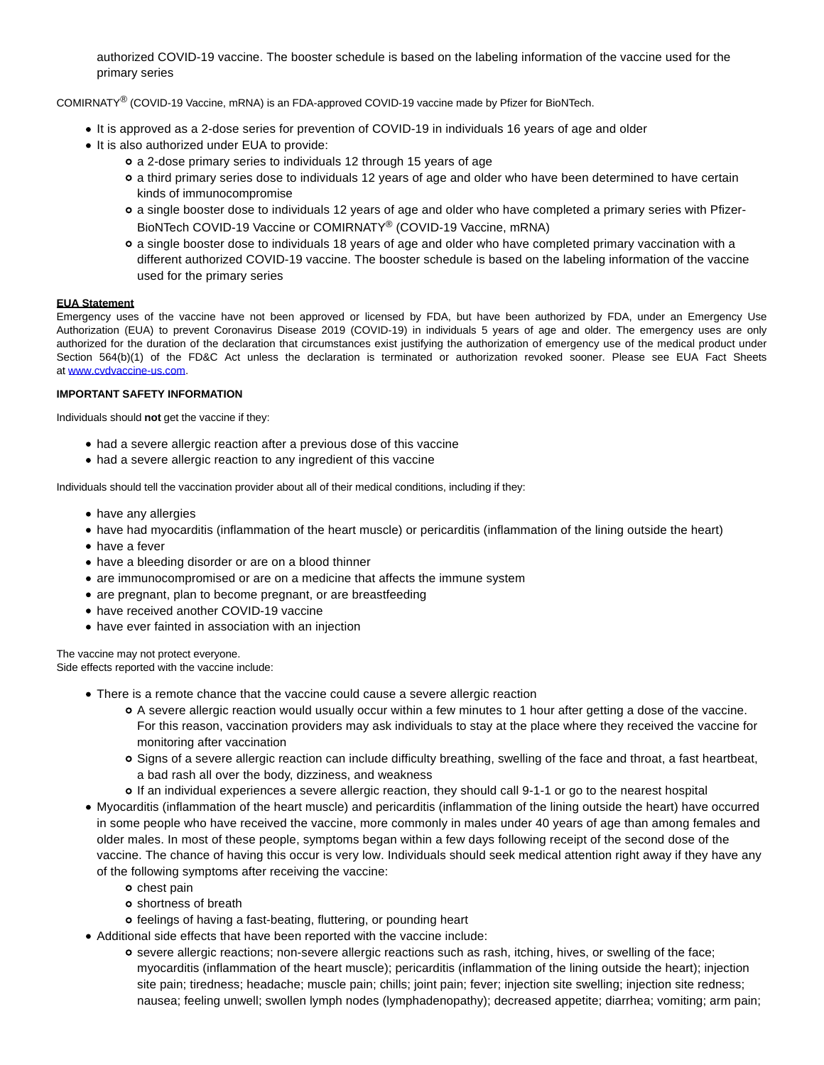authorized COVID-19 vaccine. The booster schedule is based on the labeling information of the vaccine used for the primary series

COMIRNATY® (COVID-19 Vaccine, mRNA) is an FDA-approved COVID-19 vaccine made by Pfizer for BioNTech.

- It is approved as a 2-dose series for prevention of COVID-19 in individuals 16 years of age and older
- It is also authorized under EUA to provide:
	- a 2-dose primary series to individuals 12 through 15 years of age
	- a third primary series dose to individuals 12 years of age and older who have been determined to have certain kinds of immunocompromise
	- a single booster dose to individuals 12 years of age and older who have completed a primary series with Pfizer-BioNTech COVID-19 Vaccine or COMIRNATY® (COVID-19 Vaccine, mRNA)
	- a single booster dose to individuals 18 years of age and older who have completed primary vaccination with a different authorized COVID-19 vaccine. The booster schedule is based on the labeling information of the vaccine used for the primary series

### **EUA Statement**

Emergency uses of the vaccine have not been approved or licensed by FDA, but have been authorized by FDA, under an Emergency Use Authorization (EUA) to prevent Coronavirus Disease 2019 (COVID-19) in individuals 5 years of age and older. The emergency uses are only authorized for the duration of the declaration that circumstances exist justifying the authorization of emergency use of the medical product under Section 564(b)(1) of the FD&C Act unless the declaration is terminated or authorization revoked sooner. Please see EUA Fact Sheets at [www.cvdvaccine-us.com.](https://www.globenewswire.com/Tracker?data=lTeonvWBCEAA6BpyHrQLm7hbYIv6R5O0GtktH9mt_07-IcGx6reT9dN6QBA4mK0fPIJ57yS460pr-IIgC2SD3o5rJsc-2hvxf31Na4EPcRU=)

### **IMPORTANT SAFETY INFORMATION**

Individuals should **not** get the vaccine if they:

- had a severe allergic reaction after a previous dose of this vaccine
- had a severe allergic reaction to any ingredient of this vaccine

Individuals should tell the vaccination provider about all of their medical conditions, including if they:

- have any allergies
- have had myocarditis (inflammation of the heart muscle) or pericarditis (inflammation of the lining outside the heart)
- have a fever
- have a bleeding disorder or are on a blood thinner
- are immunocompromised or are on a medicine that affects the immune system
- are pregnant, plan to become pregnant, or are breastfeeding
- have received another COVID-19 vaccine
- have ever fainted in association with an injection

The vaccine may not protect everyone. Side effects reported with the vaccine include:

- There is a remote chance that the vaccine could cause a severe allergic reaction
	- A severe allergic reaction would usually occur within a few minutes to 1 hour after getting a dose of the vaccine. For this reason, vaccination providers may ask individuals to stay at the place where they received the vaccine for monitoring after vaccination
	- Signs of a severe allergic reaction can include difficulty breathing, swelling of the face and throat, a fast heartbeat, a bad rash all over the body, dizziness, and weakness
	- If an individual experiences a severe allergic reaction, they should call 9-1-1 or go to the nearest hospital
- Myocarditis (inflammation of the heart muscle) and pericarditis (inflammation of the lining outside the heart) have occurred in some people who have received the vaccine, more commonly in males under 40 years of age than among females and older males. In most of these people, symptoms began within a few days following receipt of the second dose of the vaccine. The chance of having this occur is very low. Individuals should seek medical attention right away if they have any of the following symptoms after receiving the vaccine:
	- o chest pain
	- o shortness of breath
	- feelings of having a fast-beating, fluttering, or pounding heart
- Additional side effects that have been reported with the vaccine include:
	- severe allergic reactions; non-severe allergic reactions such as rash, itching, hives, or swelling of the face; myocarditis (inflammation of the heart muscle); pericarditis (inflammation of the lining outside the heart); injection site pain; tiredness; headache; muscle pain; chills; joint pain; fever; injection site swelling; injection site redness; nausea; feeling unwell; swollen lymph nodes (lymphadenopathy); decreased appetite; diarrhea; vomiting; arm pain;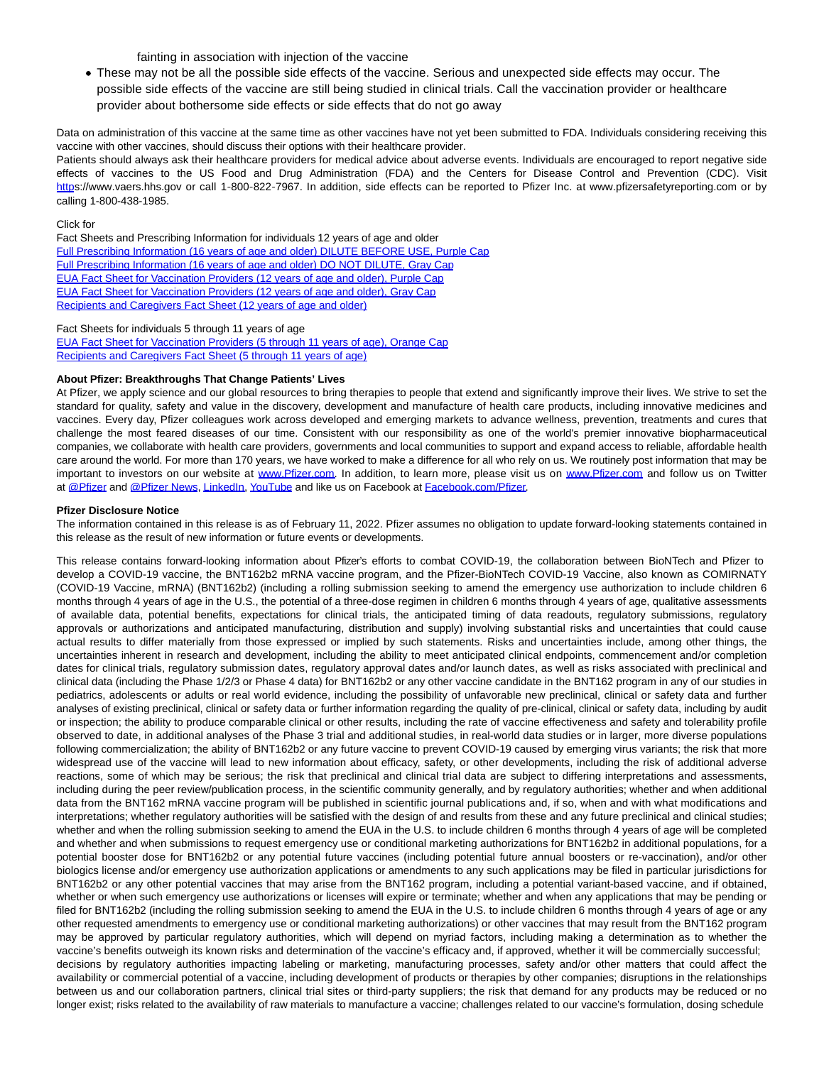fainting in association with injection of the vaccine

These may not be all the possible side effects of the vaccine. Serious and unexpected side effects may occur. The possible side effects of the vaccine are still being studied in clinical trials. Call the vaccination provider or healthcare provider about bothersome side effects or side effects that do not go away

Data on administration of this vaccine at the same time as other vaccines have not yet been submitted to FDA. Individuals considering receiving this vaccine with other vaccines, should discuss their options with their healthcare provider.

Patients should always ask their healthcare providers for medical advice about adverse events. Individuals are encouraged to report negative side effects of vaccines to the US Food and Drug Administration (FDA) and the Centers for Disease Control and Prevention (CDC). Visit [https](https://www.globenewswire.com/Tracker?data=NZWKbj58Cx6bkV8NeK_tunjgg_Dnz1RlbD-TSUJQRKLozNSub-sJixUZPe74X-XeVW4D6JSSx279ogNXjIu7Ew==)://www.vaers.hhs.gov or call 1-800-822-7967. In addition, side effects can be reported to Pfizer Inc. at www.pfizersafetyreporting.com or by calling 1-800-438-1985.

Click for

Fact Sheets and Prescribing Information for individuals 12 years of age and older [Full Prescribing Information \(16 years of age and older\) DILUTE BEFORE USE, Purple Cap](https://www.globenewswire.com/Tracker?data=UI4DSSyNny-YieyRI7PJ303n23zO4FPLUyaErZauJI9fuvWyuPYRtQASvSe6qhN5paYtPJrUde3V9IO7nRCqC_OqzQ15CEOEt_cz9oO_oeo-0r6WV9MuSSG7UOBLj6rO5AOg38k8TPQhJHzzBWyWvIvfqXY4xXxmiy45cQlpZw4EXQ5R7r4oP0wnG0K9dbCQ3yjeX8vO8KpHixcTK5-GyjhThPCL-y2AnZMeAAgrRWL58UljRnnHTUt2Yflrvn1mAwqX7qFTixv0CX9PybOMQymAk2cOHiMqs16eZvNzrOzrUOemhTEGGQy-3El5jPQ09_ER85dinvsur6OAkGTZcU_pr09oZqPy4fNMJBR2yAlGOUWEIgBnK4AfD1t-X-vHJWki2wCAg4e7I3rngX-ywF7LCTdZ_lKW2cDNh1_qpHsAaW2Das1vU83IO0Rcd7xCWhgXgtZ4SSKMpfE6l6-S-Wy3c-p9DsLmdwEEqLKWJaduLQowP03St-XzBQHsf1Yr-2-FjzjFLUSQY5G7dZ2AQ-FLA3bvBK2lcLr74F-vk3_qyCKAx5cwyBPMAf7tnSfRDLmRu3BT_14JqvfQHOHPRg==) [Full Prescribing Information \(16 years of age and older\) DO NOT DILUTE, Gray Cap](https://www.globenewswire.com/Tracker?data=UI4DSSyNny-YieyRI7PJ303n23zO4FPLUyaErZauJI9fuvWyuPYRtQASvSe6qhN5paYtPJrUde3V9IO7nRCqC0w-qqo_P6tkFjUa0ibRcKnU87f80rGI942N2IE6d5KhSwTDLHlB_pfS-jA_slta5-js0puuNuoF7XU75bkAjqgv5O6rOVfZAEw_UtSp33I2A_UF5JoT9mnSf2O-GvNERZ41D6f01b3g9Wf9buHR6qWrnq82jRRGanoxYvcncIFEXN6fk_rjofvRzhwEUGR2G5u0rS2P2bV_CPha1JqhPaM0shA7gpqycMkZpPB9Bfg9U0TUKeGTJRLM3t5cit0D8pNkyai7Xqzt_4_kYqIPg3CCZZglUlK5xKPy4aMR0rcBADhDJBhnPpIz--mGMjhkVVhTovYXMbbIadQTHvrU050VaB4ET0cbGJySuQ3orVHl0otdgQJD_iOq-3Nn2rOKLsmp5O6sUGwKcTgLwfwUNCQCK3BdmzQNg--4pqs2CK9RZJd13aVfsZXZrddUDbTK5CTHFm9qd9tFtn21xijSesNIzyK8ICDt6ourlifZ6eXR) [EUA Fact Sheet for Vaccination Providers \(12 years of age and older\), Purple Cap](https://www.globenewswire.com/Tracker?data=r1G9UPu3hAgMzbZ_EhITO4Sg0c-2wq7hv5Y8mmWXSyq2bdIKZ_3sAHTPvH-fXBkbbxS6wPJadbIghwzrS5F3aK4GZSKQTGI8KcYku2dFmhNadiywhGIL8nw1xig98chtWzHmOubpBa262Jk2Ys85_ZBxhhmg3Dqz32CCIU9huQFAcL9_cHjyo1SWrlhvXmw4M5uet6PcbQOxzya3Vf5Wc3BwSaVC_nfqsFaX-W1-lMpxWEt0-bReMxi-kAUALs9JTqL78AxcqDh-og6T8tET2_-A5ZjRo4L-B6I3gE3rSWpf6L7JAhy8-HQmmUwkoENJhqj8Jin-RcEg3LgkrxNfnSmjqM8oxdor-Ynnj03MeMFJu8eDAxk1PVDd8_81NxHaTTjiNG-T4t9akGLYP_XCMkxYP5AK58W9jKAY2j7gGdXaMq0SnXahvwNzfLf9u_hg47uhDZq-w6IbV5AgbSvdsc-2-HX1zfGCBBWR8BAp4Ofa-DfgLQIKlW2svR3EUxN4fr6MdUiAZllShmad9nTSGtzE4B-pZB7EjgtlcuVcwffmoLuJ13RWgZVwRFjzlSD4) [EUA Fact Sheet for Vaccination Providers \(12 years of age and older\), Gray Cap](https://www.globenewswire.com/Tracker?data=r1G9UPu3hAgMzbZ_EhITO4Sg0c-2wq7hv5Y8mmWXSyq2bdIKZ_3sAHTPvH-fXBkbbxS6wPJadbIghwzrS5F3aK4GZSKQTGI8KcYku2dFmhMSwYjg_0jZHDvGVOluHXqQVPIaAemEaJOwo6OLb63KWHDnZSniZbNDBavRN_hy0IQ7KLtVooU7lZHKNzfGRSGj_iHAGGbNp_Vd0O5AUXdIbhzW9b6e7hPBS-yXgnq7i1w6cDAQLChC6UQ0wNWU_uAB0BNyVTnfanKnHni_hw7yVxuz65eMV4K-ULo-BYt2Fujf2e5CTE3jJYAQUrvwbKggT8W9yvKvBR80nzVKnL7N1DeW6xy8yFqomPxNnGjU9p16LdW8I-E5USZF3_VOhnWrBRjRdrcwMT4JhNqzWY7q36CvCC9IaK-QWRknFt1NjYUlXmShVWb_A1AbX-WW8BoA60B6M0pPVV0pxKLJ4OgFmYZoCFlDTqQyiW4sVdiXz8_ONq_qIlgIdResiB8rRQSA7YNGVn9HDvA9tK-HYyo8BGpywjBqHwGqdQ_JH4MVdf--Q9mFtHW7-qD7WEUSkDm2) [Recipients and Caregivers Fact Sheet \(12 years of age and older\)](https://www.globenewswire.com/Tracker?data=Z7e2fjwD-17hIVjz9sMAZsbrdZimnqGg-P_hqpVJgpFg9ua7URSF6-oHE638OpGrS9KVdkXKKc50hm893yP7BvQNsYtjp7KOj-dhafAjVRzS7NHxhY4f8zN1wZqJEmpKsFD9t8-EymrRtccjhtjJx3n0jTWEbT1GKFRV5Lvq2TScki9RGmBQC1iZ8lrpNulTiY26e-jon4dMwKKlSI5yVemF0AMsavWHWOk1qwhNI-_U7vGfxAZjOD62N8dtDytT64HeU1ZkeC1Qr3JtVA5kuoDhT9V1-kxM36IgGZQ9cEU17zHhCQtdPLULoj18bVqFSQvrpp_22Iw4PjO8lbu6KdCpdKtDtTcNPYOMGAoBkv2eJmw0zfyx8OXF5FFgXZ_2LxIMzZconw8ZdW9EVcWqimSQmwmqduG0XOBY-7FWUfdU2jpI9TgGyN13dGv7f3yYi4vYVw8RguuXxIMOFU6-hwNdyWuuz3fwTf-4WSuIuf0O8AitsnvGxFblW7YrBDoEHvJhCKvhMoQbohr5XnSpcA==)

#### Fact Sheets for individuals 5 through 11 years of age

[EUA Fact Sheet for Vaccination Providers \(5 through 11 years of age\), Orange Cap](https://www.globenewswire.com/Tracker?data=r1G9UPu3hAgMzbZ_EhITO4Sg0c-2wq7hv5Y8mmWXSyq2bdIKZ_3sAHTPvH-fXBkbq39AitYNsn6RC0MQpLUvKceCCOGGIFeGQoKTUGj2ly8wLGViRq0TUcYnyXH-Cmq8qJegZ-1Us2_RkMAztsU2gujQK2D4OxOGM-D0Gyn_RfRWU87OT7KQRbWTMiM4wkPjNvOtJeslKmdSOsUil8vDpVu6QbffU6RgQxueBstOGeyFPH8zDt8IQXxlXxbb_3E0ElOYWuzQusYcH60ha--d1KNtj05LAePX9rXMIMZ5LmribRkWXXpvulikrb31d67w48TeTwod-WSe8NXvsmrGMcSGDRUoi5wuLmd4r3tTDCqQhbfI6brEixFjpIT6c3buzOBZKCq6BYQcqdYRvcBZ_00Ox24DHC5p3jHeegSFqc0zpnV6ueU4cEK6kkrcTi7Tu-Lq0eB4Bdr_R4bbUGucUWWiJxSls5C6-itga9i1WA6Ix73nCM0llh7Nq0yFVt6k9PigxBbAqyc04dxMnrNU5bXUzeaINs_rUuUpM1Fl33iicsC4ZcM1EAeZdGHHhvlY) [Recipients and Caregivers Fact Sheet \(5 through 11 years of age\)](https://www.globenewswire.com/Tracker?data=Z7e2fjwD-17hIVjz9sMAZsbrdZimnqGg-P_hqpVJgpFg9ua7URSF6-oHE638OpGr68OhbTBCQyuSXX01zIF14lmmJBQoDViWnh6G98Ao-89YC7l_9C41yB5jfOPVvYSvtaSSSiQTL8UGlP2MjlijoPzzM33U_EehEv8iV-AI3xUztXfGk5eI18-Lt7_Am-pJlTaH9taRMMzuvr4A3vA_yM4l2w5LQbrPDksORwAc7-qp3oZsFHjubNymPGeVX7r7qV_x6pmWXWOW2vfjG9pcO8qGdafA01tsyEWe7UW8o5oMrgzg3AG8jr-mKEP28BYLFwrGZCPDXbv4t8Vo2t2BOCu5O-nW3SGksNZwJ1R5jZ8yuZR71-3Ct7V9roI5EdGLEX_m9DGrslkEgdXIuiPpZ2If99nzoytTxXwpZRNFqWLFhAF_kfT5o34EPNAa32dAQZClO7NalCEReTAbxYBdv_nz5BZkUovA3L5bgdiQxg-8ZDRThgt9eOLIMXCXNUZDLqowhTp0cLswhWPh5k0MYA==)

#### **About Pfizer: Breakthroughs That Change Patients' Lives**

At Pfizer, we apply science and our global resources to bring therapies to people that extend and significantly improve their lives. We strive to set the standard for quality, safety and value in the discovery, development and manufacture of health care products, including innovative medicines and vaccines. Every day, Pfizer colleagues work across developed and emerging markets to advance wellness, prevention, treatments and cures that challenge the most feared diseases of our time. Consistent with our responsibility as one of the world's premier innovative biopharmaceutical companies, we collaborate with health care providers, governments and local communities to support and expand access to reliable, affordable health care around the world. For more than 170 years, we have worked to make a difference for all who rely on us. We routinely post information that may be important to investors on our website at [www.Pfizer.com.](https://www.globenewswire.com/Tracker?data=lTeonvWBCEAA6BpyHrQLm-AynS857BBcbYMaH9ny-fGynkjXW4edqOcWooNGNqrkt5qPTlmXsG10Bm49m5vBwAYX4b4OQXteQmtIB4Ik1E6bA2G-xfPELKKM1WknpD2N07AmwmLwGpZz2xr8S59E6vy_gGDgvnMvcTcCvnhPhGbfGxsuOt3zzGzWGtpxNmzATtLIYh95rO5IU6qdfBoNezlEWGY-JbIJEf4yBEcv9D56ukJ38sOfnCkLVIkMG3o9nnyig9BGGsqJPPG0UtPEnkUe1lxSLYPDYITZPMsSoawYk-hcgVrXP020GBv21-LIIfD_xqumzmuwzhZ0Y-gfCA==) In addition, to learn more, please visit us on [www.Pfizer.com](https://www.globenewswire.com/Tracker?data=lTeonvWBCEAA6BpyHrQLmzrQTH788rLwtRrzcIbwaOHiLQ_KxaAfzf_7HCkNzWVQYPJ3gTyb1JE2gAxzpAdpW5dR3VovYMrHDnYrSpdhTo-dO-Uim4zykEoOhulDOvKbKHQQrKFjegdFuP5is8zeKLPsrdF-W8rglm8WB9wFTNLYv4OpzEJS68tcK0AcErJaXFxvGYv6hLKiYFA5yz1kul8m9K8jMXven0_JU4bZ4vRE99nPnH3xkhY_8_y746itHlO5K2oCSh5TXw0XqXMsRgxcb9ILb_iSVeQQR342LppHt4f3ia8baFiBdpTk_g2CwVn03LuJTzPucCAj1lmKRA==) and follow us on Twitter at [@Pfizer a](https://www.globenewswire.com/Tracker?data=6UWUQbG3Z18fAG9biCT1oTnvpnIM-gYz0qDtLlG4-1exvXf5SFe5Ag65ZMA_IC_WEtV8Zf1xrnPNvuxJeN8L756fnSAHSbkLavaIVrD9htbcC0C-vwUe4kP3DmdYDX5KRBZivj7BlgaFVjCEiPZm1qXH72C6EYYqwkOfGsRuOOok7UEnv3Xmot637PFb0rTOm-uwLe4DUqmiM6ul2thj5y-AL8E9jFTBSWYgaV55tJStkElg-jxo6_NYDIVrpAIsvzCwOYYRRf9Zk6bs0TjySX87j8XSNl4pHr4m3xOj-O5dBXqbw58Rp_bLaCqFs69y)nd [@Pfizer News,](https://www.globenewswire.com/Tracker?data=6UWUQbG3Z18fAG9biCT1odTrfPvu6Y9CIyoiNdNMrkFP0KZq59EWypkyRqTC7KWWSNfzQ2UtCo3eietUQ-IXBIlho5eaSoISXCYIf6zExyIgkrJoB6jUveYjtxTZxqm8FTXuqAGnaFZNPqQ0OXaWC5x6KYdFk22hv0-UmID_kZhPwXLG2Efgb1ZVZt5GO7JBO_3Gzi1EfrZHusp1NYl-6igR1MOF1av-QOptQkGTiJVEnonehN9Id57Eyj7Q3WLbYU-av9Ez9ekmDLDIYOv0WfmsHQHV6pPfRd6FCUYUIohbZA9zHRSemgycrFZOWl4g4Qsng_bSzgsxZ3b5342R5A==) [LinkedIn,](https://www.globenewswire.com/Tracker?data=3oqpb3_KLlWfOOBoVmlnbU4n2uUo5VzMHyR0DHt6kl1arCz08B8kjGRWhnr12H_RY5GJKwCrnIL0k72QK39Fr7IPmQh-b_-6w9lpNorOLuALEhGjVRglQsBOp5Hn7vvogMDSzkHqdDbCmOgufo0OnsrC51luJuvCUzR3m_PDcDyV1J6t2qm0YK-7-lnCFT0O5-xsKxkR_rCuE3uAue30fOPOv9r0lmpXyr0YM5YHiEQfB08rlT8QakukemXwpN7zrinhoiZ1GNE5CakFVqiZzhJO71WsSR_KdkEWiK0jan65Id1TXh4oP-hiM3F2NcEn_DDUyJA4nMd2sJbuoylRtg==) [YouTube a](https://www.globenewswire.com/Tracker?data=RJCfVCxJnEypF08gruuoYi94vVTPX7z4puy40FS6NqrKiEhaF8_jKWV1L3qH0dXsjmuai_zAuf1_ev6_75qVAKq-t0giQX4cjE9RzOwMy82p36vLUzF4jrLLjglo-1uxSBKWzl2LVIB5r5j1ibDLASs6JbuessBDYVHJuGH1fNDoND4OVir_bCbEkLTfkBR5LJJ9Kji1dfFbNyInnG4W12nI3mvbeS4mZ79ITacQlbwmN7IlPrEklIOOcSFH3gBBicrKFDuDIAO_xpGQQAJqGOjpfTctxPbHxAXsS65QNp5F4XLgNwqFarnRAFUuBEyI)nd like us on Facebook at [Facebook.com/Pfizer.](https://www.globenewswire.com/Tracker?data=95zpI0sMyqQKAC6ly8rWoSwDY53opfXKH_yRHnAMA_P7PeVRv4YpbS1gyiNytKUBRlq0AgNKYdMtxDgHhzBWuV3O7xn-V3A_yoWM8curWvZ87VIoHdL9mOc2RYMu9o-jHcgjxihs7O2vHOGn0aK3q8TxLQFpshfNdPTCXMawWoqqgREVN-uN_3sBdAy4sFwDbkS1PWQwa2yVsTbfzsfchUDqJZ5vZpi3U449t2k4Oko54LlDGHXh6ijFZEAKxWUikOGAoBfo4uR3p130zMNvQAt1MM1eLpL1EFJHjREGovyEcFItzP_bWPxpKdvOeqf59UM0Qra_l2hvmrTjCfFCSVbwdxe_e_3BDQU6h0JlNQs=)

#### **Pfizer Disclosure Notice**

The information contained in this release is as of February 11, 2022. Pfizer assumes no obligation to update forward-looking statements contained in this release as the result of new information or future events or developments.

This release contains forward-looking information about Pfizer's efforts to combat COVID-19, the collaboration between BioNTech and Pfizer to develop a COVID-19 vaccine, the BNT162b2 mRNA vaccine program, and the Pfizer-BioNTech COVID-19 Vaccine, also known as COMIRNATY (COVID-19 Vaccine, mRNA) (BNT162b2) (including a rolling submission seeking to amend the emergency use authorization to include children 6 months through 4 years of age in the U.S., the potential of a three-dose regimen in children 6 months through 4 years of age, qualitative assessments of available data, potential benefits, expectations for clinical trials, the anticipated timing of data readouts, regulatory submissions, regulatory approvals or authorizations and anticipated manufacturing, distribution and supply) involving substantial risks and uncertainties that could cause actual results to differ materially from those expressed or implied by such statements. Risks and uncertainties include, among other things, the uncertainties inherent in research and development, including the ability to meet anticipated clinical endpoints, commencement and/or completion dates for clinical trials, regulatory submission dates, regulatory approval dates and/or launch dates, as well as risks associated with preclinical and clinical data (including the Phase 1/2/3 or Phase 4 data) for BNT162b2 or any other vaccine candidate in the BNT162 program in any of our studies in pediatrics, adolescents or adults or real world evidence, including the possibility of unfavorable new preclinical, clinical or safety data and further analyses of existing preclinical, clinical or safety data or further information regarding the quality of pre-clinical, clinical or safety data, including by audit or inspection; the ability to produce comparable clinical or other results, including the rate of vaccine effectiveness and safety and tolerability profile observed to date, in additional analyses of the Phase 3 trial and additional studies, in real-world data studies or in larger, more diverse populations following commercialization; the ability of BNT162b2 or any future vaccine to prevent COVID-19 caused by emerging virus variants; the risk that more widespread use of the vaccine will lead to new information about efficacy, safety, or other developments, including the risk of additional adverse reactions, some of which may be serious; the risk that preclinical and clinical trial data are subject to differing interpretations and assessments, including during the peer review/publication process, in the scientific community generally, and by regulatory authorities; whether and when additional data from the BNT162 mRNA vaccine program will be published in scientific journal publications and, if so, when and with what modifications and interpretations; whether regulatory authorities will be satisfied with the design of and results from these and any future preclinical and clinical studies; whether and when the rolling submission seeking to amend the EUA in the U.S. to include children 6 months through 4 years of age will be completed and whether and when submissions to request emergency use or conditional marketing authorizations for BNT162b2 in additional populations, for a potential booster dose for BNT162b2 or any potential future vaccines (including potential future annual boosters or re-vaccination), and/or other biologics license and/or emergency use authorization applications or amendments to any such applications may be filed in particular jurisdictions for BNT162b2 or any other potential vaccines that may arise from the BNT162 program, including a potential variant-based vaccine, and if obtained, whether or when such emergency use authorizations or licenses will expire or terminate; whether and when any applications that may be pending or filed for BNT162b2 (including the rolling submission seeking to amend the EUA in the U.S. to include children 6 months through 4 years of age or any other requested amendments to emergency use or conditional marketing authorizations) or other vaccines that may result from the BNT162 program may be approved by particular regulatory authorities, which will depend on myriad factors, including making a determination as to whether the vaccine's benefits outweigh its known risks and determination of the vaccine's efficacy and, if approved, whether it will be commercially successful; decisions by regulatory authorities impacting labeling or marketing, manufacturing processes, safety and/or other matters that could affect the availability or commercial potential of a vaccine, including development of products or therapies by other companies; disruptions in the relationships between us and our collaboration partners, clinical trial sites or third-party suppliers; the risk that demand for any products may be reduced or no longer exist; risks related to the availability of raw materials to manufacture a vaccine; challenges related to our vaccine's formulation, dosing schedule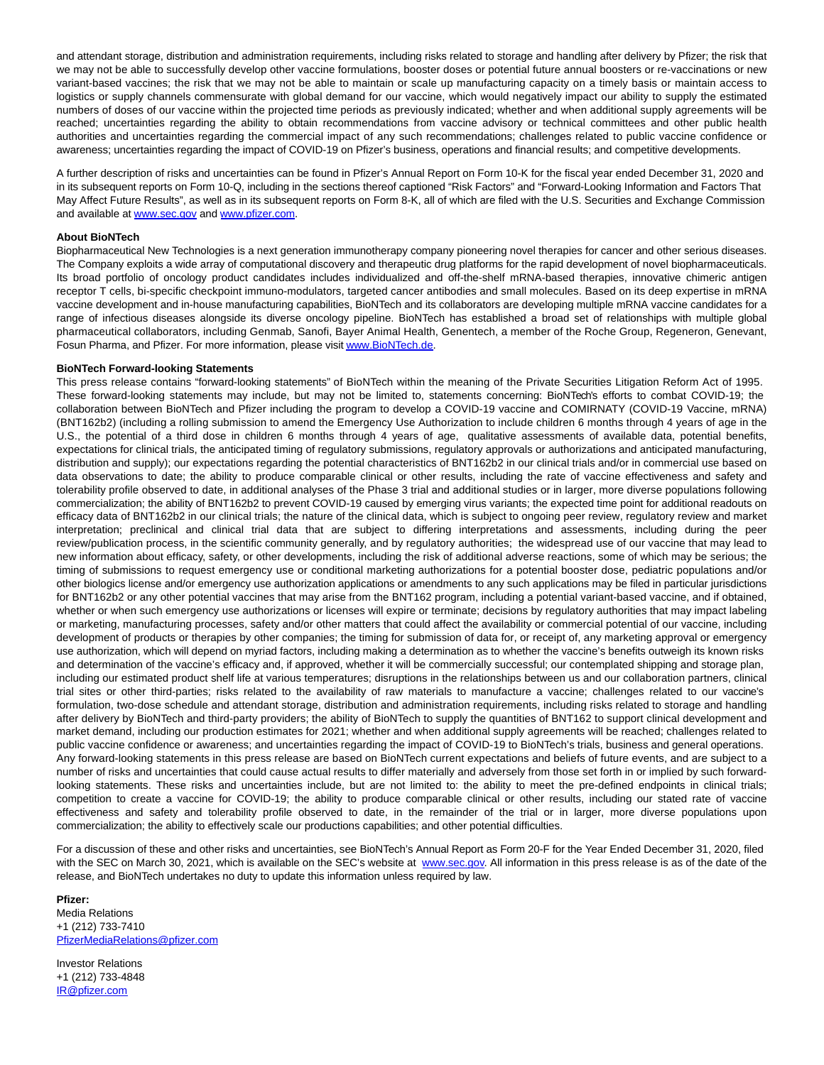and attendant storage, distribution and administration requirements, including risks related to storage and handling after delivery by Pfizer; the risk that we may not be able to successfully develop other vaccine formulations, booster doses or potential future annual boosters or re-vaccinations or new variant-based vaccines; the risk that we may not be able to maintain or scale up manufacturing capacity on a timely basis or maintain access to logistics or supply channels commensurate with global demand for our vaccine, which would negatively impact our ability to supply the estimated numbers of doses of our vaccine within the projected time periods as previously indicated; whether and when additional supply agreements will be reached; uncertainties regarding the ability to obtain recommendations from vaccine advisory or technical committees and other public health authorities and uncertainties regarding the commercial impact of any such recommendations; challenges related to public vaccine confidence or awareness; uncertainties regarding the impact of COVID-19 on Pfizer's business, operations and financial results; and competitive developments.

A further description of risks and uncertainties can be found in Pfizer's Annual Report on Form 10-K for the fiscal year ended December 31, 2020 and in its subsequent reports on Form 10-Q, including in the sections thereof captioned "Risk Factors" and "Forward-Looking Information and Factors That May Affect Future Results", as well as in its subsequent reports on Form 8-K, all of which are filed with the U.S. Securities and Exchange Commission and available at [www.sec.gov a](https://www.globenewswire.com/Tracker?data=lTeonvWBCEAA6BpyHrQLmzJ6RHKM9BjEU_pJUL0L8rad0DnK9IvTT6lIuZX66oMy3LqHATVvMN-h-wY-0YJQ8Hx3ath0LBTKVJdHZleaYXjcfiv4n_IWWuPuzqJQA2n_NKxSPeU0fQP_Ujq1uW8z7NqRdst0OiKedLwlbNPSiMvvdkghyXJI1nckDW9GiBu60FvT2Jweu0ObArfjeoUWWPwh0lQx06lISTMiPezsIo_Ebvoorb616XsDfYjkNX_u3k9YHiM_BQ2iP3y8gwdr8RrHZnMOp71tldoK-UVfZhX61vmMBU3OnDFBS0__VdWqg4veQfULu_odo7hbl-ynU3W6tu42JJyiANzW9niN03s1LpgrfBm9eaXf6rNnirjuv-WYbuClSMwjrbClkBJlKf0jxx3LO8FLWwUpGhuYSqgRzdTgYpP64xT7Dag5zZiBRNTJ_eSWROK_pbnzCbFRxu0CZRZfmEfZdGohKPdMT98=)nd [www.pfizer.com.](https://www.globenewswire.com/Tracker?data=lTeonvWBCEAA6BpyHrQLm2iFvqrmd5BlQgBOHsH4YfD082uh1nz1fF-phrauaUs8BiQaH12GXdBqc9CCjzsme57ZAZDNw0MHUtq6utSbSfWB-7HAllBWULxU7hEP3uZgG-W4TUQxg6wJ9mhc0ZWWCSOcVho5g7QB8NiQxqmlI0AeJhLiK_hehK7uKnDidCyQwdIEtCXQT1sVlQN5p29xjMkvca7psDZvb0OxCFItDMlDqlbmuDk-9PkQ1K9-N22jKdJsS_6axzB5KVL4A7DGLmGtBY-XauxrCdI3dL8ra0CWp5llq5vWgja0WeC-Go56EUOHEviRnzAB26Dq6WPFJx5xhq5kOBxt-wK0VUdSAvt3_H_sxo9GNRWwGUIeTI7Sm9l6ZUgGm4MiLtakP5elWK9RaBu49iCULtreOINxEbYjr2L7PPsfLrKhP3_xRicB1hJoyAJg_OkMLB3fZeSkvVWvgSeqP_fJLIddmvs4W4o=)

#### **About BioNTech**

Biopharmaceutical New Technologies is a next generation immunotherapy company pioneering novel therapies for cancer and other serious diseases. The Company exploits a wide array of computational discovery and therapeutic drug platforms for the rapid development of novel biopharmaceuticals. Its broad portfolio of oncology product candidates includes individualized and off-the-shelf mRNA-based therapies, innovative chimeric antigen receptor T cells, bi-specific checkpoint immuno-modulators, targeted cancer antibodies and small molecules. Based on its deep expertise in mRNA vaccine development and in-house manufacturing capabilities, BioNTech and its collaborators are developing multiple mRNA vaccine candidates for a range of infectious diseases alongside its diverse oncology pipeline. BioNTech has established a broad set of relationships with multiple global pharmaceutical collaborators, including Genmab, Sanofi, Bayer Animal Health, Genentech, a member of the Roche Group, Regeneron, Genevant, Fosun Pharma, and Pfizer. For more information, please visi[t www.BioNTech.de.](https://www.globenewswire.com/Tracker?data=lTeonvWBCEAA6BpyHrQLm_Ape6Llat4fE7f_I2T-YklCbAJHAWBSyHVRjYfIFbPVYpxPQUBBX0-7msXXwFgnD9hdPLmILvlDQnDxJVtHpzFBgD9Dr8oFTNT2LYIyDiGmOcD6eRxHRP7s7jWZkJt7cz6E4gWF0uclXU-mCbPZuJTBzrnZiB6eirBsAPTW_U9zzCDm1Sj8mQXiVvI7Mb2vBNeleG0uxN5mrCnAWIWRWYu_tTz2twBGrv6F8MaRRK-8MalygafudaBGZdaBYffb0aMxYyQSP0SqUA1hRrxpItrv-02sbDGGLph1jyGvOOzICG3JJTA-yD677atQFcIqYA==)

#### **BioNTech Forward-looking Statements**

This press release contains "forward-looking statements" of BioNTech within the meaning of the Private Securities Litigation Reform Act of 1995. These forward-looking statements may include, but may not be limited to, statements concerning: BioNTech's efforts to combat COVID-19; the collaboration between BioNTech and Pfizer including the program to develop a COVID-19 vaccine and COMIRNATY (COVID-19 Vaccine, mRNA) (BNT162b2) (including a rolling submission to amend the Emergency Use Authorization to include children 6 months through 4 years of age in the U.S., the potential of a third dose in children 6 months through 4 years of age, qualitative assessments of available data, potential benefits, expectations for clinical trials, the anticipated timing of regulatory submissions, regulatory approvals or authorizations and anticipated manufacturing, distribution and supply); our expectations regarding the potential characteristics of BNT162b2 in our clinical trials and/or in commercial use based on data observations to date; the ability to produce comparable clinical or other results, including the rate of vaccine effectiveness and safety and tolerability profile observed to date, in additional analyses of the Phase 3 trial and additional studies or in larger, more diverse populations following commercialization; the ability of BNT162b2 to prevent COVID-19 caused by emerging virus variants; the expected time point for additional readouts on efficacy data of BNT162b2 in our clinical trials; the nature of the clinical data, which is subject to ongoing peer review, regulatory review and market interpretation; preclinical and clinical trial data that are subject to differing interpretations and assessments, including during the peer review/publication process, in the scientific community generally, and by regulatory authorities; the widespread use of our vaccine that may lead to new information about efficacy, safety, or other developments, including the risk of additional adverse reactions, some of which may be serious; the timing of submissions to request emergency use or conditional marketing authorizations for a potential booster dose, pediatric populations and/or other biologics license and/or emergency use authorization applications or amendments to any such applications may be filed in particular jurisdictions for BNT162b2 or any other potential vaccines that may arise from the BNT162 program, including a potential variant-based vaccine, and if obtained, whether or when such emergency use authorizations or licenses will expire or terminate; decisions by regulatory authorities that may impact labeling or marketing, manufacturing processes, safety and/or other matters that could affect the availability or commercial potential of our vaccine, including development of products or therapies by other companies; the timing for submission of data for, or receipt of, any marketing approval or emergency use authorization, which will depend on myriad factors, including making a determination as to whether the vaccine's benefits outweigh its known risks and determination of the vaccine's efficacy and, if approved, whether it will be commercially successful; our contemplated shipping and storage plan, including our estimated product shelf life at various temperatures; disruptions in the relationships between us and our collaboration partners, clinical trial sites or other third-parties; risks related to the availability of raw materials to manufacture a vaccine; challenges related to our vaccine's formulation, two-dose schedule and attendant storage, distribution and administration requirements, including risks related to storage and handling after delivery by BioNTech and third-party providers; the ability of BioNTech to supply the quantities of BNT162 to support clinical development and market demand, including our production estimates for 2021; whether and when additional supply agreements will be reached; challenges related to public vaccine confidence or awareness; and uncertainties regarding the impact of COVID-19 to BioNTech's trials, business and general operations. Any forward-looking statements in this press release are based on BioNTech current expectations and beliefs of future events, and are subject to a number of risks and uncertainties that could cause actual results to differ materially and adversely from those set forth in or implied by such forwardlooking statements. These risks and uncertainties include, but are not limited to: the ability to meet the pre-defined endpoints in clinical trials; competition to create a vaccine for COVID-19; the ability to produce comparable clinical or other results, including our stated rate of vaccine effectiveness and safety and tolerability profile observed to date, in the remainder of the trial or in larger, more diverse populations upon commercialization; the ability to effectively scale our productions capabilities; and other potential difficulties.

For a discussion of these and other risks and uncertainties, see BioNTech's Annual Report as Form 20-F for the Year Ended December 31, 2020, filed with the SEC on March 30, 2021, which is available on the SEC's website at [www.sec.gov.](https://www.globenewswire.com/Tracker?data=lTeonvWBCEAA6BpyHrQLm4kY7bEk2O1fDojbot34IbgwFrZYALJ1Jv4iFBu7xMQOt-IbeiRnDFIbrvzkfY7A0f7W7xKCRTsdxwyscWKsILIE1WezDY0Bv_HVOJH7BRMjxvjMOfYC3rtLXw4yhyrDqlbjzJhBZDo7otr-0TbuW7A_6xPfryyiC8Gvl5y3xUAPxa4U3ckDSRgorqigRuuXp7gvx9X3HiAfqm5IjCCf0LTKuy5JeLjaMTx4Ay8LFep8h3HR15OZKGDfe1XmBStAtt-wc0hM21zo9tGCz0aDF5JcnLKmPENhM5NqiHgP5s8G) All information in this press release is as of the date of the release, and BioNTech undertakes no duty to update this information unless required by law.

#### **Pfizer:**

Media Relations +1 (212) 733-7410 [PfizerMediaRelations@pfizer.com](https://www.globenewswire.com/Tracker?data=-Dwscbg2EsuBDwvwryp97hCB1cXzQaL65TIgMaxytTX54t6cFeGLisNgFWR6qbWbLqSZvTxIEzW5Lu2WdtLtliVI4vd0gMfG0ZuwkBmt2ggfB8bSTDRmNUWdWTk5iuK4)

Investor Relations +1 (212) 733-4848 [IR@pfizer.com](https://www.globenewswire.com/Tracker?data=8sI1nZNVWKlWUcy8_r8sy_dcVtqztUK3_ncKPa0KI8R9M5KGLmmieGe2sdFas99DRdIzdN_Dv6dJQgZ4HuajWA==)